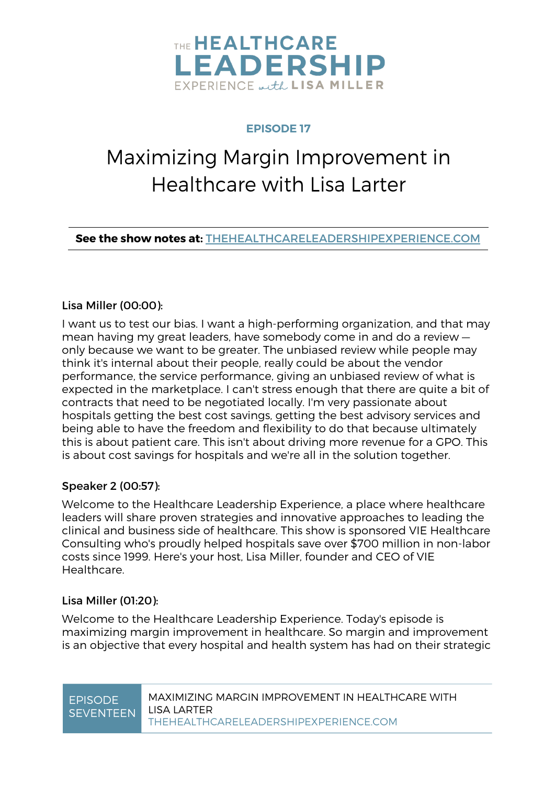

### **EPISODE 17**

# Maximizing Margin Improvement in Healthcare with Lisa Larter

**See the show notes at:** THEHEALTHCARELEADERSHIPEXPERIENCE.COM

### Lisa Miller (00:00):

I want us to test our bias. I want a high-performing organization, and that may mean having my great leaders, have somebody come in and do a review only because we want to be greater. The unbiased review while people may think it's internal about their people, really could be about the vendor performance, the service performance, giving an unbiased review of what is expected in the marketplace. I can't stress enough that there are quite a bit of contracts that need to be negotiated locally. I'm very passionate about hospitals getting the best cost savings, getting the best advisory services and being able to have the freedom and flexibility to do that because ultimately this is about patient care. This isn't about driving more revenue for a GPO. This is about cost savings for hospitals and we're all in the solution together.

### Speaker 2 (00:57):

Welcome to the Healthcare Leadership Experience, a place where healthcare leaders will share proven strategies and innovative approaches to leading the clinical and business side of healthcare. This show is sponsored VIE Healthcare Consulting who's proudly helped hospitals save over \$700 million in non-labor costs since 1999. Here's your host, Lisa Miller, founder and CEO of VIE **Healthcare** 

### Lisa Miller (01:20):

Welcome to the Healthcare Leadership Experience. Today's episode is maximizing margin improvement in healthcare. So margin and improvement is an objective that every hospital and health system has had on their strategic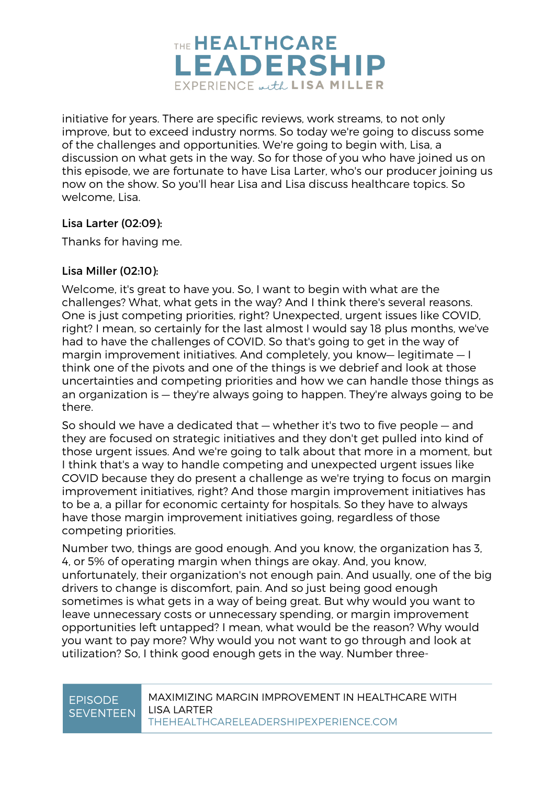

initiative for years. There are specific reviews, work streams, to not only improve, but to exceed industry norms. So today we're going to discuss some of the challenges and opportunities. We're going to begin with, Lisa, a discussion on what gets in the way. So for those of you who have joined us on this episode, we are fortunate to have Lisa Larter, who's our producer joining us now on the show. So you'll hear Lisa and Lisa discuss healthcare topics. So welcome, Lisa.

### Lisa Larter (02:09):

Thanks for having me.

### Lisa Miller (02:10):

Welcome, it's great to have you. So, I want to begin with what are the challenges? What, what gets in the way? And I think there's several reasons. One is just competing priorities, right? Unexpected, urgent issues like COVID, right? I mean, so certainly for the last almost I would say 18 plus months, we've had to have the challenges of COVID. So that's going to get in the way of margin improvement initiatives. And completely, you know— legitimate — I think one of the pivots and one of the things is we debrief and look at those uncertainties and competing priorities and how we can handle those things as an organization is — they're always going to happen. They're always going to be there.

So should we have a dedicated that — whether it's two to five people — and they are focused on strategic initiatives and they don't get pulled into kind of those urgent issues. And we're going to talk about that more in a moment, but I think that's a way to handle competing and unexpected urgent issues like COVID because they do present a challenge as we're trying to focus on margin improvement initiatives, right? And those margin improvement initiatives has to be a, a pillar for economic certainty for hospitals. So they have to always have those margin improvement initiatives going, regardless of those competing priorities.

Number two, things are good enough. And you know, the organization has 3, 4, or 5% of operating margin when things are okay. And, you know, unfortunately, their organization's not enough pain. And usually, one of the big drivers to change is discomfort, pain. And so just being good enough sometimes is what gets in a way of being great. But why would you want to leave unnecessary costs or unnecessary spending, or margin improvement opportunities left untapped? I mean, what would be the reason? Why would you want to pay more? Why would you not want to go through and look at utilization? So, I think good enough gets in the way. Number three-

### EPISODE **SEVENTEEN**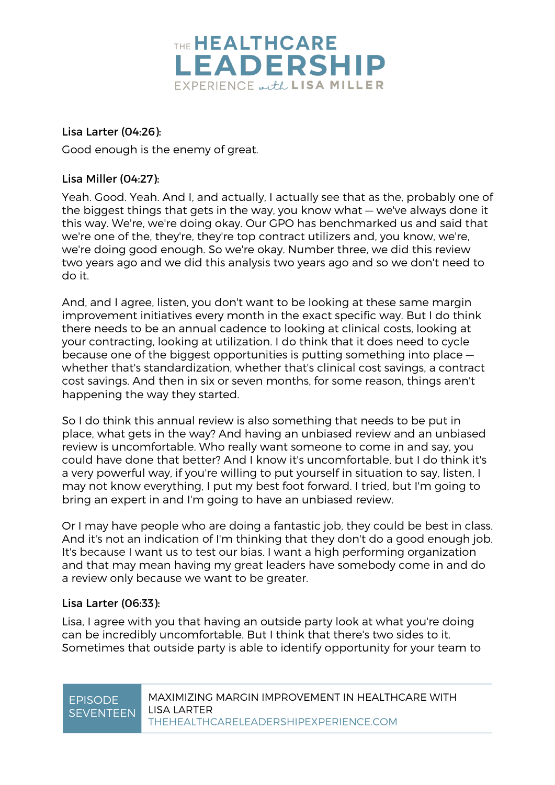

### Lisa Larter (04:26):

Good enough is the enemy of great.

### Lisa Miller (04:27):

Yeah. Good. Yeah. And I, and actually, I actually see that as the, probably one of the biggest things that gets in the way, you know what — we've always done it this way. We're, we're doing okay. Our GPO has benchmarked us and said that we're one of the, they're, they're top contract utilizers and, you know, we're, we're doing good enough. So we're okay. Number three, we did this review two years ago and we did this analysis two years ago and so we don't need to do it.

And, and I agree, listen, you don't want to be looking at these same margin improvement initiatives every month in the exact specific way. But I do think there needs to be an annual cadence to looking at clinical costs, looking at your contracting, looking at utilization. I do think that it does need to cycle because one of the biggest opportunities is putting something into place whether that's standardization, whether that's clinical cost savings, a contract cost savings. And then in six or seven months, for some reason, things aren't happening the way they started.

So I do think this annual review is also something that needs to be put in place, what gets in the way? And having an unbiased review and an unbiased review is uncomfortable. Who really want someone to come in and say, you could have done that better? And I know it's uncomfortable, but I do think it's a very powerful way, if you're willing to put yourself in situation to say, listen, I may not know everything, I put my best foot forward. I tried, but I'm going to bring an expert in and I'm going to have an unbiased review.

Or I may have people who are doing a fantastic job, they could be best in class. And it's not an indication of I'm thinking that they don't do a good enough job. It's because I want us to test our bias. I want a high performing organization and that may mean having my great leaders have somebody come in and do a review only because we want to be greater.

### Lisa Larter (06:33):

Lisa, I agree with you that having an outside party look at what you're doing can be incredibly uncomfortable. But I think that there's two sides to it. Sometimes that outside party is able to identify opportunity for your team to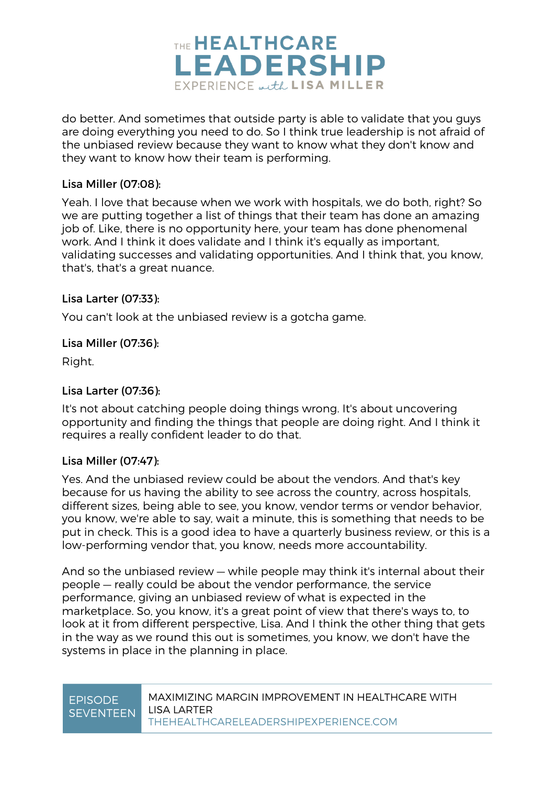

do better. And sometimes that outside party is able to validate that you guys are doing everything you need to do. So I think true leadership is not afraid of the unbiased review because they want to know what they don't know and they want to know how their team is performing.

### Lisa Miller (07:08):

Yeah. I love that because when we work with hospitals, we do both, right? So we are putting together a list of things that their team has done an amazing job of. Like, there is no opportunity here, your team has done phenomenal work. And I think it does validate and I think it's equally as important, validating successes and validating opportunities. And I think that, you know, that's, that's a great nuance.

### Lisa Larter (07:33):

You can't look at the unbiased review is a gotcha game.

### Lisa Miller (07:36):

Right.

### Lisa Larter (07:36):

It's not about catching people doing things wrong. It's about uncovering opportunity and finding the things that people are doing right. And I think it requires a really confident leader to do that.

### Lisa Miller (07:47):

Yes. And the unbiased review could be about the vendors. And that's key because for us having the ability to see across the country, across hospitals, different sizes, being able to see, you know, vendor terms or vendor behavior, you know, we're able to say, wait a minute, this is something that needs to be put in check. This is a good idea to have a quarterly business review, or this is a low-performing vendor that, you know, needs more accountability.

And so the unbiased review — while people may think it's internal about their people — really could be about the vendor performance, the service performance, giving an unbiased review of what is expected in the marketplace. So, you know, it's a great point of view that there's ways to, to look at it from different perspective, Lisa. And I think the other thing that gets in the way as we round this out is sometimes, you know, we don't have the systems in place in the planning in place.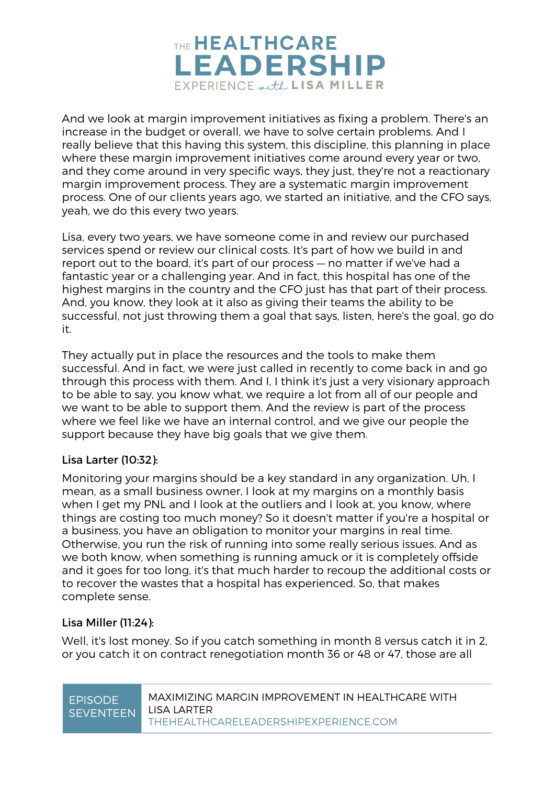

And we look at margin improvement initiatives as fixing a problem. There's an increase in the budget or overall, we have to solve certain problems. And I really believe that this having this system, this discipline, this planning in place where these margin improvement initiatives come around every year or two, and they come around in very specific ways, they just, they're not a reactionary margin improvement process. They are a systematic margin improvement process. One of our clients years ago, we started an initiative, and the CFO says, yeah, we do this every two years.

Lisa, every two years, we have someone come in and review our purchased services spend or review our clinical costs. It's part of how we build in and report out to the board, it's part of our process — no matter if we've had a fantastic year or a challenging year. And in fact, this hospital has one of the highest margins in the country and the CFO just has that part of their process. And, you know, they look at it also as giving their teams the ability to be successful, not just throwing them a goal that says, listen, here's the goal, go do it.

They actually put in place the resources and the tools to make them successful. And in fact, we were just called in recently to come back in and go through this process with them. And I, I think it's just a very visionary approach to be able to say, you know what, we require a lot from all of our people and we want to be able to support them. And the review is part of the process where we feel like we have an internal control, and we give our people the support because they have big goals that we give them.

### Lisa Larter (10:32):

Monitoring your margins should be a key standard in any organization. Uh, I mean, as a small business owner, I look at my margins on a monthly basis when I get my PNL and I look at the outliers and I look at, you know, where things are costing too much money? So it doesn't matter if you're a hospital or a business, you have an obligation to monitor your margins in real time. Otherwise, you run the risk of running into some really serious issues. And as we both know, when something is running amuck or it is completely offside and it goes for too long, it's that much harder to recoup the additional costs or to recover the wastes that a hospital has experienced. So, that makes complete sense.

### Lisa Miller (11:24):

Well, it's lost money. So if you catch something in month 8 versus catch it in 2, or you catch it on contract renegotiation month 36 or 48 or 47, those are all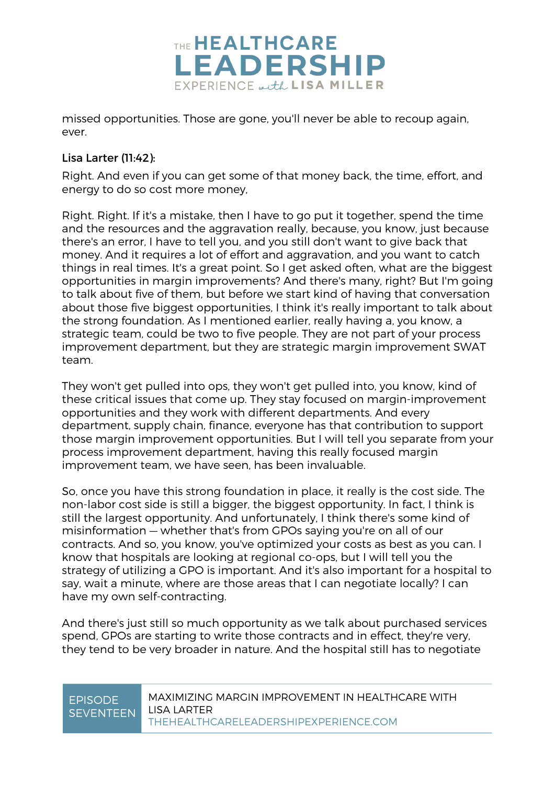

missed opportunities. Those are gone, you'll never be able to recoup again, ever.

### Lisa Larter (11:42):

Right. And even if you can get some of that money back, the time, effort, and energy to do so cost more money,

Right. Right. If it's a mistake, then I have to go put it together, spend the time and the resources and the aggravation really, because, you know, just because there's an error, I have to tell you, and you still don't want to give back that money. And it requires a lot of effort and aggravation, and you want to catch things in real times. It's a great point. So I get asked often, what are the biggest opportunities in margin improvements? And there's many, right? But I'm going to talk about five of them, but before we start kind of having that conversation about those five biggest opportunities, I think it's really important to talk about the strong foundation. As I mentioned earlier, really having a, you know, a strategic team, could be two to five people. They are not part of your process improvement department, but they are strategic margin improvement SWAT team.

They won't get pulled into ops, they won't get pulled into, you know, kind of these critical issues that come up. They stay focused on margin-improvement opportunities and they work with different departments. And every department, supply chain, finance, everyone has that contribution to support those margin improvement opportunities. But I will tell you separate from your process improvement department, having this really focused margin improvement team, we have seen, has been invaluable.

So, once you have this strong foundation in place, it really is the cost side. The non-labor cost side is still a bigger, the biggest opportunity. In fact, I think is still the largest opportunity. And unfortunately, I think there's some kind of misinformation — whether that's from GPOs saying you're on all of our contracts. And so, you know, you've optimized your costs as best as you can. I know that hospitals are looking at regional co-ops, but I will tell you the strategy of utilizing a GPO is important. And it's also important for a hospital to say, wait a minute, where are those areas that I can negotiate locally? I can have my own self-contracting.

And there's just still so much opportunity as we talk about purchased services spend, GPOs are starting to write those contracts and in effect, they're very, they tend to be very broader in nature. And the hospital still has to negotiate

### EPISODE **SEVENTEEN**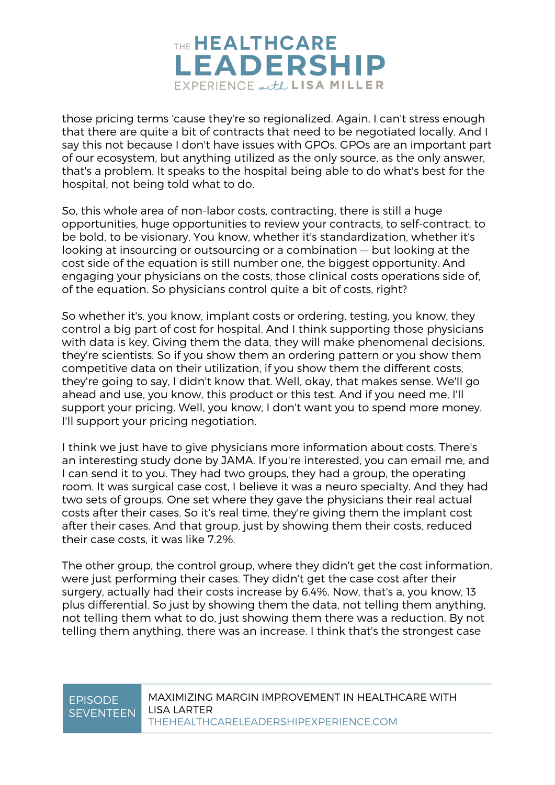

those pricing terms 'cause they're so regionalized. Again, I can't stress enough that there are quite a bit of contracts that need to be negotiated locally. And I say this not because I don't have issues with GPOs. GPOs are an important part of our ecosystem, but anything utilized as the only source, as the only answer, that's a problem. It speaks to the hospital being able to do what's best for the hospital, not being told what to do.

So, this whole area of non-labor costs, contracting, there is still a huge opportunities, huge opportunities to review your contracts, to self-contract, to be bold, to be visionary. You know, whether it's standardization, whether it's looking at insourcing or outsourcing or a combination — but looking at the cost side of the equation is still number one, the biggest opportunity. And engaging your physicians on the costs, those clinical costs operations side of, of the equation. So physicians control quite a bit of costs, right?

So whether it's, you know, implant costs or ordering, testing, you know, they control a big part of cost for hospital. And I think supporting those physicians with data is key. Giving them the data, they will make phenomenal decisions, they're scientists. So if you show them an ordering pattern or you show them competitive data on their utilization, if you show them the different costs, they're going to say, I didn't know that. Well, okay, that makes sense. We'll go ahead and use, you know, this product or this test. And if you need me, I'll support your pricing. Well, you know, I don't want you to spend more money. I'll support your pricing negotiation.

I think we just have to give physicians more information about costs. There's an interesting study done by JAMA. If you're interested, you can email me, and I can send it to you. They had two groups, they had a group, the operating room. It was surgical case cost, I believe it was a neuro specialty. And they had two sets of groups. One set where they gave the physicians their real actual costs after their cases. So it's real time, they're giving them the implant cost after their cases. And that group, just by showing them their costs, reduced their case costs, it was like 7.2%.

The other group, the control group, where they didn't get the cost information, were just performing their cases. They didn't get the case cost after their surgery, actually had their costs increase by 6.4%. Now, that's a, you know, 13 plus differential. So just by showing them the data, not telling them anything, not telling them what to do, just showing them there was a reduction. By not telling them anything, there was an increase. I think that's the strongest case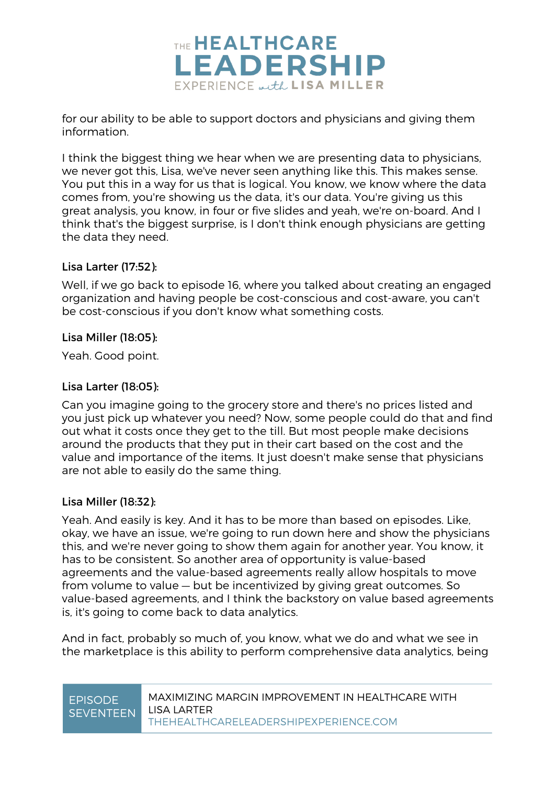

for our ability to be able to support doctors and physicians and giving them information.

I think the biggest thing we hear when we are presenting data to physicians, we never got this, Lisa, we've never seen anything like this. This makes sense. You put this in a way for us that is logical. You know, we know where the data comes from, you're showing us the data, it's our data. You're giving us this great analysis, you know, in four or five slides and yeah, we're on-board. And I think that's the biggest surprise, is I don't think enough physicians are getting the data they need.

### Lisa Larter (17:52):

Well, if we go back to episode 16, where you talked about creating an engaged organization and having people be cost-conscious and cost-aware, you can't be cost-conscious if you don't know what something costs.

### Lisa Miller (18:05):

Yeah. Good point.

### Lisa Larter (18:05):

Can you imagine going to the grocery store and there's no prices listed and you just pick up whatever you need? Now, some people could do that and find out what it costs once they get to the till. But most people make decisions around the products that they put in their cart based on the cost and the value and importance of the items. It just doesn't make sense that physicians are not able to easily do the same thing.

### Lisa Miller (18:32):

Yeah. And easily is key. And it has to be more than based on episodes. Like, okay, we have an issue, we're going to run down here and show the physicians this, and we're never going to show them again for another year. You know, it has to be consistent. So another area of opportunity is value-based agreements and the value-based agreements really allow hospitals to move from volume to value — but be incentivized by giving great outcomes. So value-based agreements, and I think the backstory on value based agreements is, it's going to come back to data analytics.

And in fact, probably so much of, you know, what we do and what we see in the marketplace is this ability to perform comprehensive data analytics, being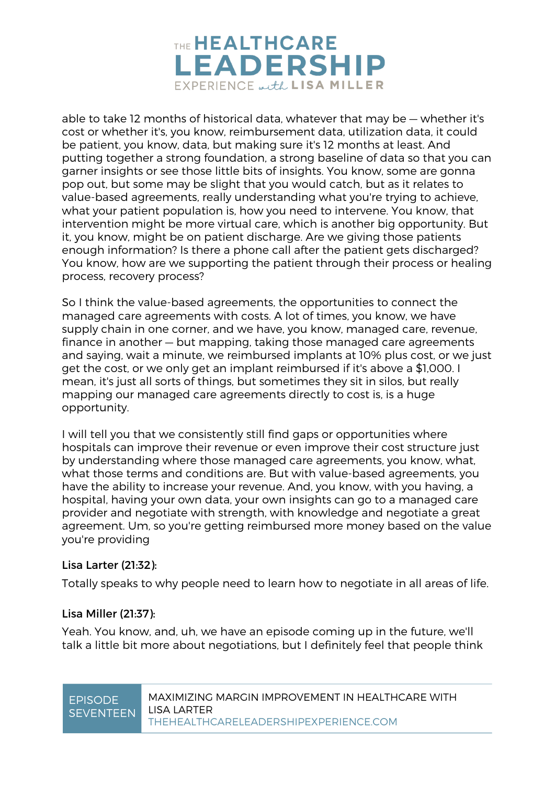

able to take 12 months of historical data, whatever that may be — whether it's cost or whether it's, you know, reimbursement data, utilization data, it could be patient, you know, data, but making sure it's 12 months at least. And putting together a strong foundation, a strong baseline of data so that you can garner insights or see those little bits of insights. You know, some are gonna pop out, but some may be slight that you would catch, but as it relates to value-based agreements, really understanding what you're trying to achieve, what your patient population is, how you need to intervene. You know, that intervention might be more virtual care, which is another big opportunity. But it, you know, might be on patient discharge. Are we giving those patients enough information? Is there a phone call after the patient gets discharged? You know, how are we supporting the patient through their process or healing process, recovery process?

So I think the value-based agreements, the opportunities to connect the managed care agreements with costs. A lot of times, you know, we have supply chain in one corner, and we have, you know, managed care, revenue, finance in another — but mapping, taking those managed care agreements and saying, wait a minute, we reimbursed implants at 10% plus cost, or we just get the cost, or we only get an implant reimbursed if it's above a \$1,000. I mean, it's just all sorts of things, but sometimes they sit in silos, but really mapping our managed care agreements directly to cost is, is a huge opportunity.

I will tell you that we consistently still find gaps or opportunities where hospitals can improve their revenue or even improve their cost structure just by understanding where those managed care agreements, you know, what, what those terms and conditions are. But with value-based agreements, you have the ability to increase your revenue. And, you know, with you having, a hospital, having your own data, your own insights can go to a managed care provider and negotiate with strength, with knowledge and negotiate a great agreement. Um, so you're getting reimbursed more money based on the value you're providing

### Lisa Larter (21:32):

Totally speaks to why people need to learn how to negotiate in all areas of life.

### Lisa Miller (21:37):

Yeah. You know, and, uh, we have an episode coming up in the future, we'll talk a little bit more about negotiations, but I definitely feel that people think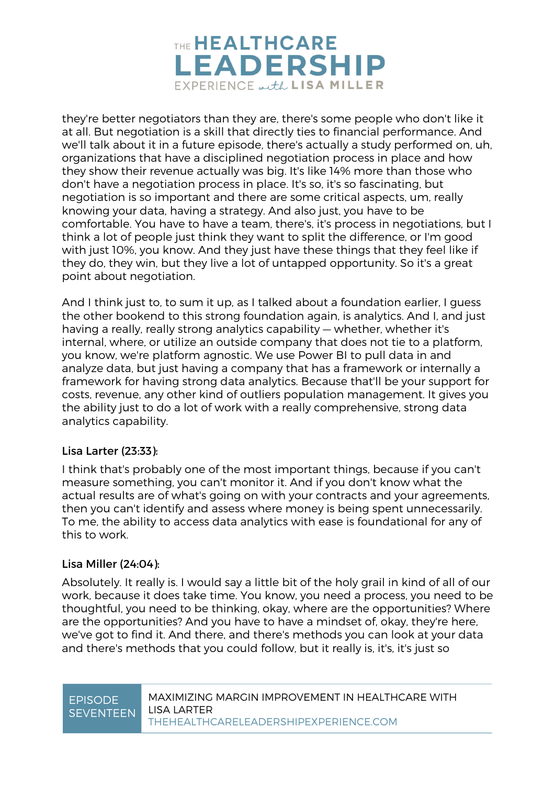

they're better negotiators than they are, there's some people who don't like it at all. But negotiation is a skill that directly ties to financial performance. And we'll talk about it in a future episode, there's actually a study performed on, uh, organizations that have a disciplined negotiation process in place and how they show their revenue actually was big. It's like 14% more than those who don't have a negotiation process in place. It's so, it's so fascinating, but negotiation is so important and there are some critical aspects, um, really knowing your data, having a strategy. And also just, you have to be comfortable. You have to have a team, there's, it's process in negotiations, but I think a lot of people just think they want to split the difference, or I'm good with just 10%, you know. And they just have these things that they feel like if they do, they win, but they live a lot of untapped opportunity. So it's a great point about negotiation.

And I think just to, to sum it up, as I talked about a foundation earlier, I quess the other bookend to this strong foundation again, is analytics. And I, and just having a really, really strong analytics capability — whether, whether it's internal, where, or utilize an outside company that does not tie to a platform, you know, we're platform agnostic. We use Power BI to pull data in and analyze data, but just having a company that has a framework or internally a framework for having strong data analytics. Because that'll be your support for costs, revenue, any other kind of outliers population management. It gives you the ability just to do a lot of work with a really comprehensive, strong data analytics capability.

### Lisa Larter (23:33):

I think that's probably one of the most important things, because if you can't measure something, you can't monitor it. And if you don't know what the actual results are of what's going on with your contracts and your agreements, then you can't identify and assess where money is being spent unnecessarily. To me, the ability to access data analytics with ease is foundational for any of this to work.

### Lisa Miller (24:04):

Absolutely. It really is. I would say a little bit of the holy grail in kind of all of our work, because it does take time. You know, you need a process, you need to be thoughtful, you need to be thinking, okay, where are the opportunities? Where are the opportunities? And you have to have a mindset of, okay, they're here, we've got to find it. And there, and there's methods you can look at your data and there's methods that you could follow, but it really is, it's, it's just so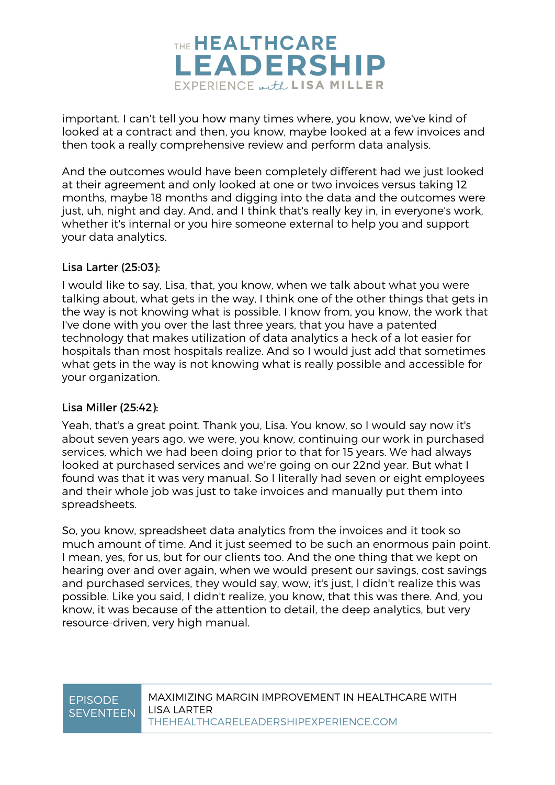

important. I can't tell you how many times where, you know, we've kind of looked at a contract and then, you know, maybe looked at a few invoices and then took a really comprehensive review and perform data analysis.

And the outcomes would have been completely different had we just looked at their agreement and only looked at one or two invoices versus taking 12 months, maybe 18 months and digging into the data and the outcomes were just, uh, night and day. And, and I think that's really key in, in everyone's work, whether it's internal or you hire someone external to help you and support your data analytics.

### Lisa Larter (25:03):

I would like to say, Lisa, that, you know, when we talk about what you were talking about, what gets in the way, I think one of the other things that gets in the way is not knowing what is possible. I know from, you know, the work that I've done with you over the last three years, that you have a patented technology that makes utilization of data analytics a heck of a lot easier for hospitals than most hospitals realize. And so I would just add that sometimes what gets in the way is not knowing what is really possible and accessible for your organization.

### Lisa Miller (25:42):

Yeah, that's a great point. Thank you, Lisa. You know, so I would say now it's about seven years ago, we were, you know, continuing our work in purchased services, which we had been doing prior to that for 15 years. We had always looked at purchased services and we're going on our 22nd year. But what I found was that it was very manual. So I literally had seven or eight employees and their whole job was just to take invoices and manually put them into spreadsheets.

So, you know, spreadsheet data analytics from the invoices and it took so much amount of time. And it just seemed to be such an enormous pain point. I mean, yes, for us, but for our clients too. And the one thing that we kept on hearing over and over again, when we would present our savings, cost savings and purchased services, they would say, wow, it's just, I didn't realize this was possible. Like you said, I didn't realize, you know, that this was there. And, you know, it was because of the attention to detail, the deep analytics, but very resource-driven, very high manual.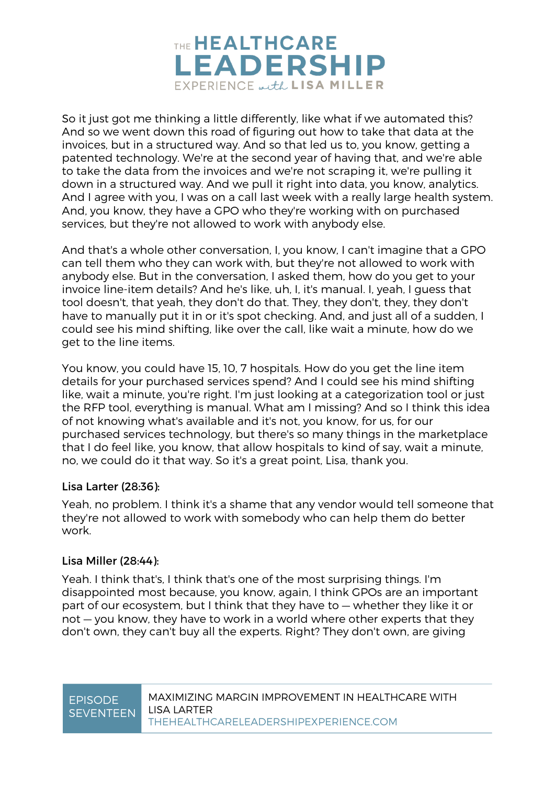

So it just got me thinking a little differently, like what if we automated this? And so we went down this road of figuring out how to take that data at the invoices, but in a structured way. And so that led us to, you know, getting a patented technology. We're at the second year of having that, and we're able to take the data from the invoices and we're not scraping it, we're pulling it down in a structured way. And we pull it right into data, you know, analytics. And I agree with you, I was on a call last week with a really large health system. And, you know, they have a GPO who they're working with on purchased services, but they're not allowed to work with anybody else.

And that's a whole other conversation, I, you know, I can't imagine that a GPO can tell them who they can work with, but they're not allowed to work with anybody else. But in the conversation, I asked them, how do you get to your invoice line-item details? And he's like, uh, I, it's manual. I, yeah, I guess that tool doesn't, that yeah, they don't do that. They, they don't, they, they don't have to manually put it in or it's spot checking. And, and just all of a sudden, I could see his mind shifting, like over the call, like wait a minute, how do we get to the line items.

You know, you could have 15, 10, 7 hospitals. How do you get the line item details for your purchased services spend? And I could see his mind shifting like, wait a minute, you're right. I'm just looking at a categorization tool or just the RFP tool, everything is manual. What am I missing? And so I think this idea of not knowing what's available and it's not, you know, for us, for our purchased services technology, but there's so many things in the marketplace that I do feel like, you know, that allow hospitals to kind of say, wait a minute, no, we could do it that way. So it's a great point, Lisa, thank you.

### Lisa Larter (28:36):

Yeah, no problem. I think it's a shame that any vendor would tell someone that they're not allowed to work with somebody who can help them do better work.

### Lisa Miller (28:44):

Yeah. I think that's, I think that's one of the most surprising things. I'm disappointed most because, you know, again, I think GPOs are an important part of our ecosystem, but I think that they have to — whether they like it or not — you know, they have to work in a world where other experts that they don't own, they can't buy all the experts. Right? They don't own, are giving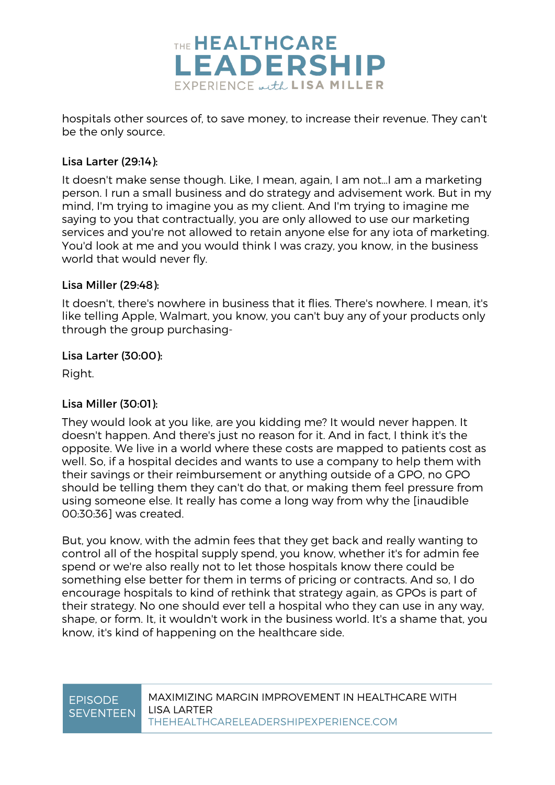

hospitals other sources of, to save money, to increase their revenue. They can't be the only source.

### Lisa Larter (29:14):

It doesn't make sense though. Like, I mean, again, I am not…I am a marketing person. I run a small business and do strategy and advisement work. But in my mind, I'm trying to imagine you as my client. And I'm trying to imagine me saying to you that contractually, you are only allowed to use our marketing services and you're not allowed to retain anyone else for any iota of marketing. You'd look at me and you would think I was crazy, you know, in the business world that would never fly.

### Lisa Miller (29:48):

It doesn't, there's nowhere in business that it flies. There's nowhere. I mean, it's like telling Apple, Walmart, you know, you can't buy any of your products only through the group purchasing-

### Lisa Larter (30:00):

Right.

### Lisa Miller (30:01):

They would look at you like, are you kidding me? It would never happen. It doesn't happen. And there's just no reason for it. And in fact, I think it's the opposite. We live in a world where these costs are mapped to patients cost as well. So, if a hospital decides and wants to use a company to help them with their savings or their reimbursement or anything outside of a GPO, no GPO should be telling them they can't do that, or making them feel pressure from using someone else. It really has come a long way from why the [inaudible 00:30:36] was created.

But, you know, with the admin fees that they get back and really wanting to control all of the hospital supply spend, you know, whether it's for admin fee spend or we're also really not to let those hospitals know there could be something else better for them in terms of pricing or contracts. And so, I do encourage hospitals to kind of rethink that strategy again, as GPOs is part of their strategy. No one should ever tell a hospital who they can use in any way, shape, or form. It, it wouldn't work in the business world. It's a shame that, you know, it's kind of happening on the healthcare side.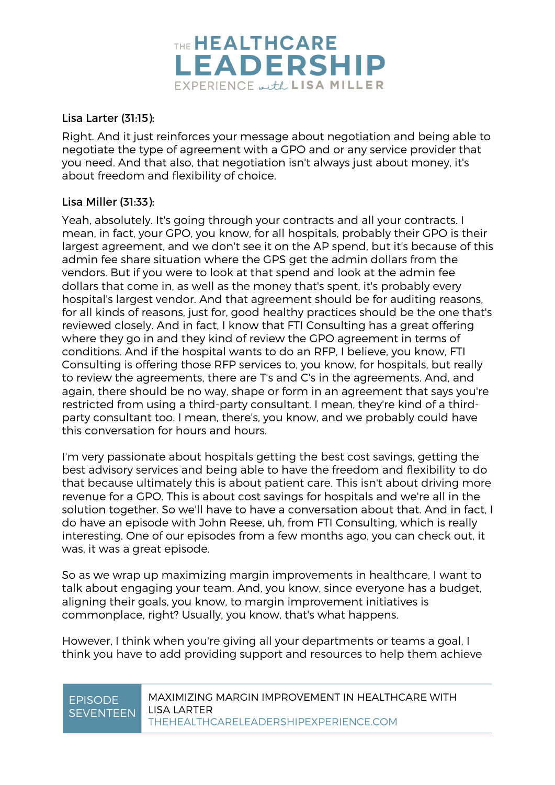

### Lisa Larter (31:15):

Right. And it just reinforces your message about negotiation and being able to negotiate the type of agreement with a GPO and or any service provider that you need. And that also, that negotiation isn't always just about money, it's about freedom and flexibility of choice.

### Lisa Miller (31:33):

Yeah, absolutely. It's going through your contracts and all your contracts. I mean, in fact, your GPO, you know, for all hospitals, probably their GPO is their largest agreement, and we don't see it on the AP spend, but it's because of this admin fee share situation where the GPS get the admin dollars from the vendors. But if you were to look at that spend and look at the admin fee dollars that come in, as well as the money that's spent, it's probably every hospital's largest vendor. And that agreement should be for auditing reasons, for all kinds of reasons, just for, good healthy practices should be the one that's reviewed closely. And in fact, I know that FTI Consulting has a great offering where they go in and they kind of review the GPO agreement in terms of conditions. And if the hospital wants to do an RFP, I believe, you know, FTI Consulting is offering those RFP services to, you know, for hospitals, but really to review the agreements, there are T's and C's in the agreements. And, and again, there should be no way, shape or form in an agreement that says you're restricted from using a third-party consultant. I mean, they're kind of a thirdparty consultant too. I mean, there's, you know, and we probably could have this conversation for hours and hours.

I'm very passionate about hospitals getting the best cost savings, getting the best advisory services and being able to have the freedom and flexibility to do that because ultimately this is about patient care. This isn't about driving more revenue for a GPO. This is about cost savings for hospitals and we're all in the solution together. So we'll have to have a conversation about that. And in fact, I do have an episode with John Reese, uh, from FTI Consulting, which is really interesting. One of our episodes from a few months ago, you can check out, it was, it was a great episode.

So as we wrap up maximizing margin improvements in healthcare, I want to talk about engaging your team. And, you know, since everyone has a budget, aligning their goals, you know, to margin improvement initiatives is commonplace, right? Usually, you know, that's what happens.

However, I think when you're giving all your departments or teams a goal, I think you have to add providing support and resources to help them achieve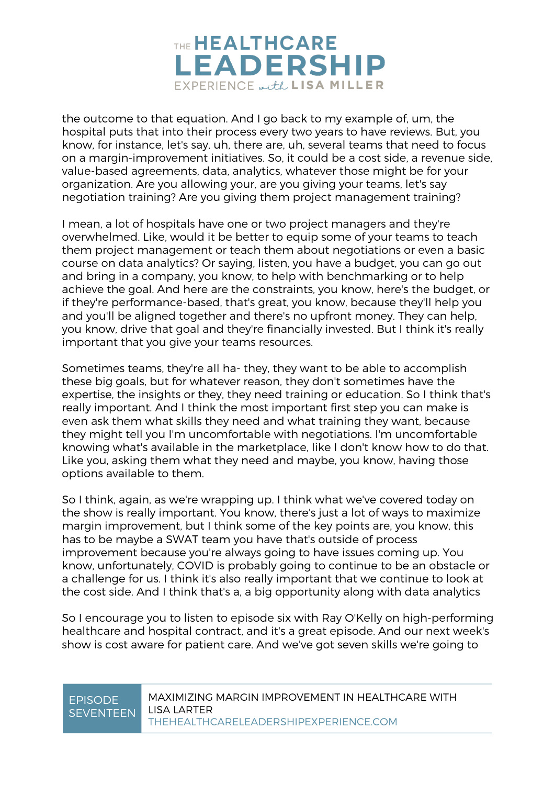

the outcome to that equation. And I go back to my example of, um, the hospital puts that into their process every two years to have reviews. But, you know, for instance, let's say, uh, there are, uh, several teams that need to focus on a margin-improvement initiatives. So, it could be a cost side, a revenue side, value-based agreements, data, analytics, whatever those might be for your organization. Are you allowing your, are you giving your teams, let's say negotiation training? Are you giving them project management training?

I mean, a lot of hospitals have one or two project managers and they're overwhelmed. Like, would it be better to equip some of your teams to teach them project management or teach them about negotiations or even a basic course on data analytics? Or saying, listen, you have a budget, you can go out and bring in a company, you know, to help with benchmarking or to help achieve the goal. And here are the constraints, you know, here's the budget, or if they're performance-based, that's great, you know, because they'll help you and you'll be aligned together and there's no upfront money. They can help, you know, drive that goal and they're financially invested. But I think it's really important that you give your teams resources.

Sometimes teams, they're all ha- they, they want to be able to accomplish these big goals, but for whatever reason, they don't sometimes have the expertise, the insights or they, they need training or education. So I think that's really important. And I think the most important first step you can make is even ask them what skills they need and what training they want, because they might tell you I'm uncomfortable with negotiations. I'm uncomfortable knowing what's available in the marketplace, like I don't know how to do that. Like you, asking them what they need and maybe, you know, having those options available to them.

So I think, again, as we're wrapping up. I think what we've covered today on the show is really important. You know, there's just a lot of ways to maximize margin improvement, but I think some of the key points are, you know, this has to be maybe a SWAT team you have that's outside of process improvement because you're always going to have issues coming up. You know, unfortunately, COVID is probably going to continue to be an obstacle or a challenge for us. I think it's also really important that we continue to look at the cost side. And I think that's a, a big opportunity along with data analytics

So I encourage you to listen to episode six with Ray O'Kelly on high-performing healthcare and hospital contract, and it's a great episode. And our next week's show is cost aware for patient care. And we've got seven skills we're going to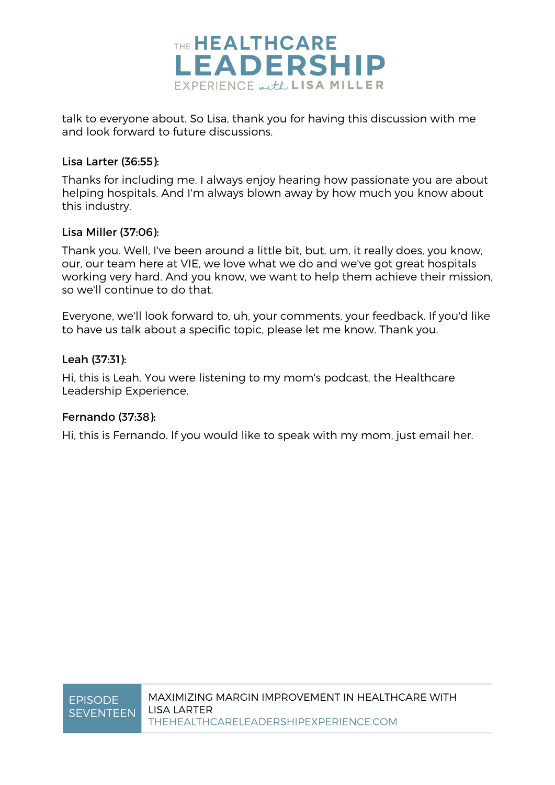

talk to everyone about. So Lisa, thank you for having this discussion with me and look forward to future discussions.

### Lisa Larter (36:55):

Thanks for including me. I always enjoy hearing how passionate you are about helping hospitals. And I'm always blown away by how much you know about this industry.

### Lisa Miller (37:06):

Thank you. Well, I've been around a little bit, but, um, it really does, you know, our, our team here at VIE, we love what we do and we've got great hospitals working very hard. And you know, we want to help them achieve their mission, so we'll continue to do that.

Everyone, we'll look forward to, uh, your comments, your feedback. If you'd like to have us talk about a specific topic, please let me know. Thank you.

### Leah (37:31):

Hi, this is Leah. You were listening to my mom's podcast, the Healthcare Leadership Experience.

### Fernando (37:38):

Hi, this is Fernando. If you would like to speak with my mom, just email her.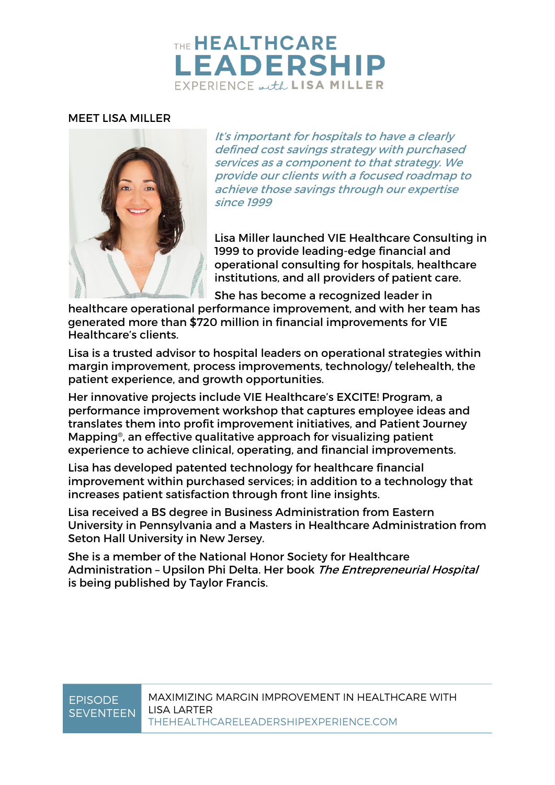## THE HEALTHCARE **EADERSHIP** EXPERIENCE with LISA MILLER

### MEET LISA MILLER



It's important for hospitals to have a clearly defined cost savings strategy with purchased services as a component to that strategy. We provide our clients with a focused roadmap to achieve those savings through our expertise since 1999

Lisa Miller launched VIE Healthcare Consulting in 1999 to provide leading-edge financial and operational consulting for hospitals, healthcare institutions, and all providers of patient care.

She has become a recognized leader in

healthcare operational performance improvement, and with her team has generated more than \$720 million in financial improvements for VIE Healthcare's clients.

Lisa is a trusted advisor to hospital leaders on operational strategies within margin improvement, process improvements, technology/ telehealth, the patient experience, and growth opportunities.

Her innovative projects include VIE Healthcare's EXCITE! Program, a performance improvement workshop that captures employee ideas and translates them into profit improvement initiatives, and Patient Journey Mapping®, an effective qualitative approach for visualizing patient experience to achieve clinical, operating, and financial improvements.

Lisa has developed patented technology for healthcare financial improvement within purchased services; in addition to a technology that increases patient satisfaction through front line insights.

Lisa received a BS degree in Business Administration from Eastern University in Pennsylvania and a Masters in Healthcare Administration from Seton Hall University in New Jersey.

She is a member of the National Honor Society for Healthcare Administration - Upsilon Phi Delta. Her book The Entrepreneurial Hospital is being published by Taylor Francis.